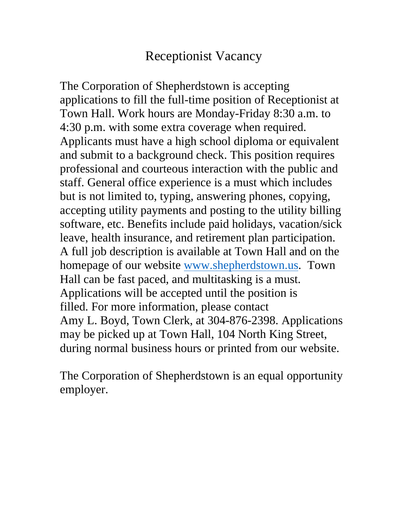# Receptionist Vacancy

The Corporation of Shepherdstown is accepting applications to fill the full-time position of Receptionist at Town Hall. Work hours are Monday-Friday 8:30 a.m. to 4:30 p.m. with some extra coverage when required. Applicants must have a high school diploma or equivalent and submit to a background check. This position requires professional and courteous interaction with the public and staff. General office experience is a must which includes but is not limited to, typing, answering phones, copying, accepting utility payments and posting to the utility billing software, etc. Benefits include paid holidays, vacation/sick leave, health insurance, and retirement plan participation. A full job description is available at Town Hall and on the homepage of our website [www.shepherdstown.us.](http://www.shepherdstown.us/) Town Hall can be fast paced, and multitasking is a must. Applications will be accepted until the position is filled. For more information, please contact Amy L. Boyd, Town Clerk, at 304-876-2398. Applications may be picked up at Town Hall, 104 North King Street, during normal business hours or printed from our website.

The Corporation of Shepherdstown is an equal opportunity employer.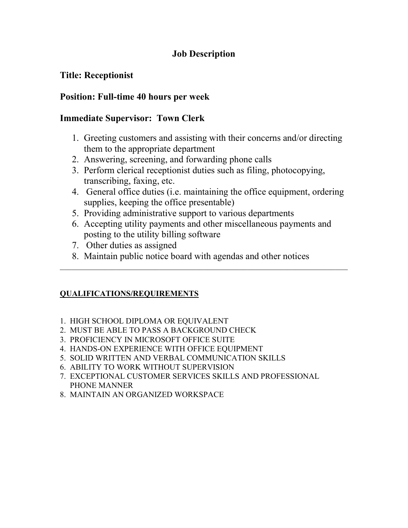### **Job Description**

### **Title: Receptionist**

### **Position: Full-time 40 hours per week**

### **Immediate Supervisor: Town Clerk**

- 1. Greeting customers and assisting with their concerns and/or directing them to the appropriate department
- 2. Answering, screening, and forwarding phone calls
- 3. Perform clerical receptionist duties such as filing, photocopying, transcribing, faxing, etc.
- 4. General office duties (i.e. maintaining the office equipment, ordering supplies, keeping the office presentable)
- 5. Providing administrative support to various departments
- 6. Accepting utility payments and other miscellaneous payments and posting to the utility billing software

 $\mathcal{L}_\text{G}$  , and the contribution of the contribution of the contribution of the contribution of the contribution of the contribution of the contribution of the contribution of the contribution of the contribution of t

- 7. Other duties as assigned
- 8. Maintain public notice board with agendas and other notices

#### **QUALIFICATIONS/REQUIREMENTS**

- 1. HIGH SCHOOL DIPLOMA OR EQUIVALENT
- 2. MUST BE ABLE TO PASS A BACKGROUND CHECK
- 3. PROFICIENCY IN MICROSOFT OFFICE SUITE
- 4. HANDS-ON EXPERIENCE WITH OFFICE EQUIPMENT
- 5. SOLID WRITTEN AND VERBAL COMMUNICATION SKILLS
- 6. ABILITY TO WORK WITHOUT SUPERVISION
- 7. EXCEPTIONAL CUSTOMER SERVICES SKILLS AND PROFESSIONAL PHONE MANNER
- 8. MAINTAIN AN ORGANIZED WORKSPACE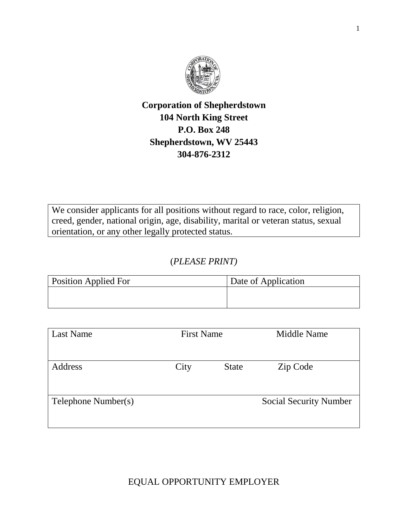

### **Corporation of Shepherdstown 104 North King Street P.O. Box 248 Shepherdstown, WV 25443 304-876-2312**

We consider applicants for all positions without regard to race, color, religion, creed, gender, national origin, age, disability, marital or veteran status, sexual orientation, or any other legally protected status.

### (*PLEASE PRINT)*

| <b>Position Applied For</b> | Date of Application |
|-----------------------------|---------------------|
|                             |                     |
|                             |                     |

| <b>Last Name</b>    | <b>First Name</b> |              | Middle Name                   |
|---------------------|-------------------|--------------|-------------------------------|
|                     |                   |              |                               |
| Address             | City              | <b>State</b> | Zip Code                      |
|                     |                   |              |                               |
| Telephone Number(s) |                   |              | <b>Social Security Number</b> |
|                     |                   |              |                               |

EQUAL OPPORTUNITY EMPLOYER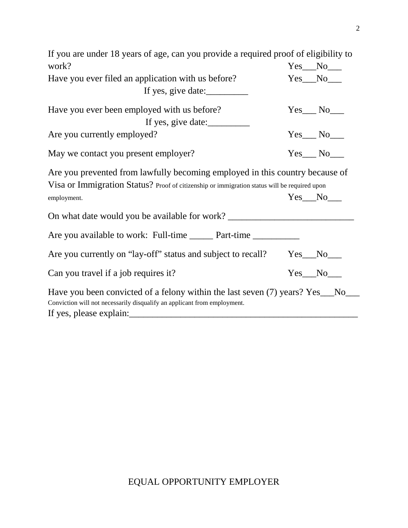| If you are under 18 years of age, can you provide a required proof of eligibility to                                                                                         |  |                 |  |  |
|------------------------------------------------------------------------------------------------------------------------------------------------------------------------------|--|-----------------|--|--|
| work?                                                                                                                                                                        |  | $Yes$ No $\_\_$ |  |  |
| Have you ever filed an application with us before?                                                                                                                           |  | $Yes$ No $\_\_$ |  |  |
| If yes, give date:                                                                                                                                                           |  |                 |  |  |
| Have you ever been employed with us before?                                                                                                                                  |  | $Yes$ No $\_\_$ |  |  |
| If yes, give date:                                                                                                                                                           |  |                 |  |  |
| Are you currently employed?                                                                                                                                                  |  | $Yes$ No $\_\_$ |  |  |
| May we contact you present employer?                                                                                                                                         |  | $Yes$ No $N$    |  |  |
| Are you prevented from lawfully becoming employed in this country because of<br>Visa or Immigration Status? Proof of citizenship or immigration status will be required upon |  |                 |  |  |
| employment.                                                                                                                                                                  |  | $Yes$ No $\_\_$ |  |  |
| On what date would you be available for work? ___________________________________                                                                                            |  |                 |  |  |
| Are you available to work: Full-time ______ Part-time _________                                                                                                              |  |                 |  |  |
| Are you currently on "lay-off" status and subject to recall? Yes_No_                                                                                                         |  |                 |  |  |
| Can you travel if a job requires it?                                                                                                                                         |  | $Yes$ No $\_\_$ |  |  |
| Have you been convicted of a felony within the last seven (7) years? Yes__No_<br>Conviction will not necessarily disqualify an applicant from employment.                    |  |                 |  |  |

2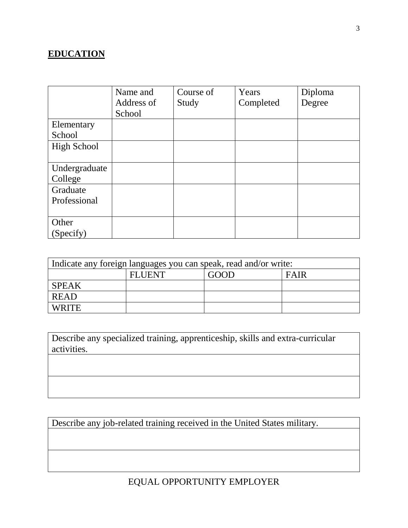# **EDUCATION**

|               | Name and   | Course of | Years     | Diploma |
|---------------|------------|-----------|-----------|---------|
|               | Address of | Study     | Completed | Degree  |
|               | School     |           |           |         |
| Elementary    |            |           |           |         |
| School        |            |           |           |         |
| High School   |            |           |           |         |
|               |            |           |           |         |
| Undergraduate |            |           |           |         |
| College       |            |           |           |         |
| Graduate      |            |           |           |         |
| Professional  |            |           |           |         |
|               |            |           |           |         |
| Other         |            |           |           |         |
| (Specify)     |            |           |           |         |

| Indicate any foreign languages you can speak, read and/or write: |               |      |             |
|------------------------------------------------------------------|---------------|------|-------------|
|                                                                  | <b>FLUENT</b> | GOOD | <b>FAIR</b> |
| <b>SPEAK</b>                                                     |               |      |             |
| <b>READ</b>                                                      |               |      |             |
| <b>WRITE</b>                                                     |               |      |             |

| Describe any specialized training, apprenticeship, skills and extra-curricular |  |
|--------------------------------------------------------------------------------|--|
| activities.                                                                    |  |

Describe any job-related training received in the United States military.

# EQUAL OPPORTUNITY EMPLOYER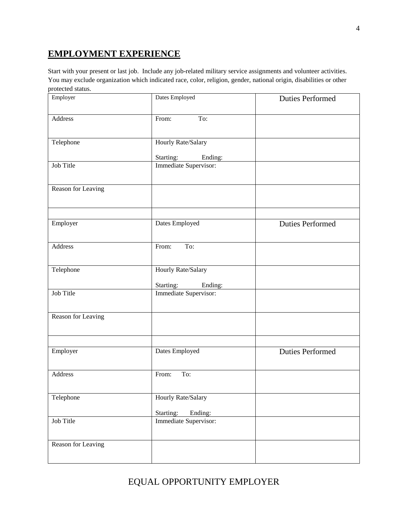### **EMPLOYMENT EXPERIENCE**

Start with your present or last job. Include any job-related military service assignments and volunteer activities. You may exclude organization which indicated race, color, religion, gender, national origin, disabilities or other protected status.

| Employer           | Dates Employed        | <b>Duties Performed</b> |
|--------------------|-----------------------|-------------------------|
| Address            | To:<br>From:          |                         |
| Telephone          | Hourly Rate/Salary    |                         |
|                    | Starting:<br>Ending:  |                         |
| Job Title          | Immediate Supervisor: |                         |
| Reason for Leaving |                       |                         |
| Employer           | Dates Employed        | <b>Duties Performed</b> |
|                    |                       |                         |
| Address            | To:<br>From:          |                         |
| Telephone          | Hourly Rate/Salary    |                         |
|                    | Starting:<br>Ending:  |                         |
| Job Title          | Immediate Supervisor: |                         |
| Reason for Leaving |                       |                         |
|                    |                       |                         |
| Employer           | Dates Employed        | <b>Duties Performed</b> |
| Address            | From:<br>To:          |                         |
| Telephone          | Hourly Rate/Salary    |                         |
|                    | Starting:<br>Ending:  |                         |
| Job Title          | Immediate Supervisor: |                         |
| Reason for Leaving |                       |                         |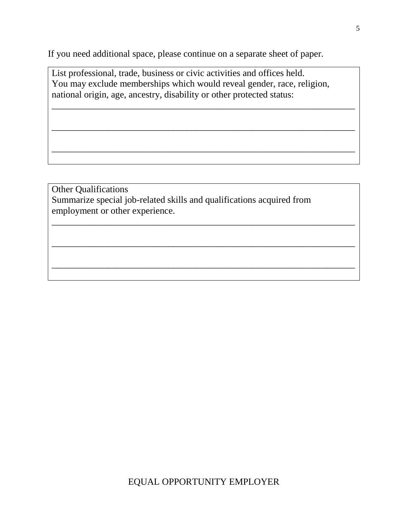If you need additional space, please continue on a separate sheet of paper.

List professional, trade, business or civic activities and offices held. You may exclude memberships which would reveal gender, race, religion, national origin, age, ancestry, disability or other protected status:

\_\_\_\_\_\_\_\_\_\_\_\_\_\_\_\_\_\_\_\_\_\_\_\_\_\_\_\_\_\_\_\_\_\_\_\_\_\_\_\_\_\_\_\_\_\_\_\_\_\_\_\_\_\_\_\_\_\_\_\_\_\_\_\_\_

\_\_\_\_\_\_\_\_\_\_\_\_\_\_\_\_\_\_\_\_\_\_\_\_\_\_\_\_\_\_\_\_\_\_\_\_\_\_\_\_\_\_\_\_\_\_\_\_\_\_\_\_\_\_\_\_\_\_\_\_\_\_\_\_\_

\_\_\_\_\_\_\_\_\_\_\_\_\_\_\_\_\_\_\_\_\_\_\_\_\_\_\_\_\_\_\_\_\_\_\_\_\_\_\_\_\_\_\_\_\_\_\_\_\_\_\_\_\_\_\_\_\_\_\_\_\_\_\_\_\_

\_\_\_\_\_\_\_\_\_\_\_\_\_\_\_\_\_\_\_\_\_\_\_\_\_\_\_\_\_\_\_\_\_\_\_\_\_\_\_\_\_\_\_\_\_\_\_\_\_\_\_\_\_\_\_\_\_\_\_\_\_\_\_\_\_

\_\_\_\_\_\_\_\_\_\_\_\_\_\_\_\_\_\_\_\_\_\_\_\_\_\_\_\_\_\_\_\_\_\_\_\_\_\_\_\_\_\_\_\_\_\_\_\_\_\_\_\_\_\_\_\_\_\_\_\_\_\_\_\_\_

\_\_\_\_\_\_\_\_\_\_\_\_\_\_\_\_\_\_\_\_\_\_\_\_\_\_\_\_\_\_\_\_\_\_\_\_\_\_\_\_\_\_\_\_\_\_\_\_\_\_\_\_\_\_\_\_\_\_\_\_\_\_\_\_\_

Other Qualifications Summarize special job-related skills and qualifications acquired from employment or other experience.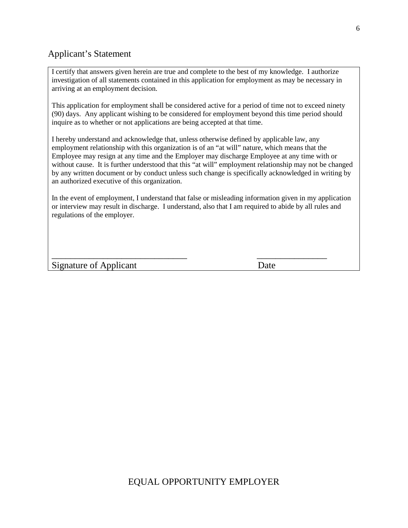#### Applicant's Statement

I certify that answers given herein are true and complete to the best of my knowledge. I authorize investigation of all statements contained in this application for employment as may be necessary in arriving at an employment decision.

This application for employment shall be considered active for a period of time not to exceed ninety (90) days. Any applicant wishing to be considered for employment beyond this time period should inquire as to whether or not applications are being accepted at that time.

I hereby understand and acknowledge that, unless otherwise defined by applicable law, any employment relationship with this organization is of an "at will" nature, which means that the Employee may resign at any time and the Employer may discharge Employee at any time with or without cause. It is further understood that this "at will" employment relationship may not be changed by any written document or by conduct unless such change is specifically acknowledged in writing by an authorized executive of this organization.

In the event of employment, I understand that false or misleading information given in my application or interview may result in discharge. I understand, also that I am required to abide by all rules and regulations of the employer.

\_\_\_\_\_\_\_\_\_\_\_\_\_\_\_\_\_\_\_\_\_\_\_\_\_\_\_\_\_ \_\_\_\_\_\_\_\_\_\_\_\_\_\_\_

Signature of Applicant Date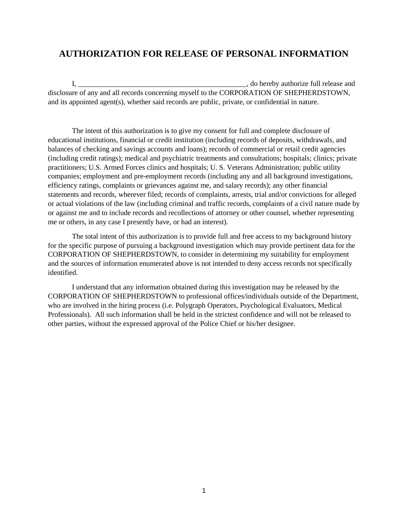#### **AUTHORIZATION FOR RELEASE OF PERSONAL INFORMATION**

I, \_\_\_\_\_\_\_\_\_\_\_\_\_\_\_\_\_\_\_\_\_\_\_\_\_\_\_\_\_\_\_\_\_\_\_\_\_\_\_\_\_\_\_\_\_\_, do hereby authorize full release and disclosure of any and all records concerning myself to the CORPORATION OF SHEPHERDSTOWN, and its appointed agent(s), whether said records are public, private, or confidential in nature.

The intent of this authorization is to give my consent for full and complete disclosure of educational institutions, financial or credit institution (including records of deposits, withdrawals, and balances of checking and savings accounts and loans); records of commercial or retail credit agencies (including credit ratings); medical and psychiatric treatments and consultations; hospitals; clinics; private practitioners; U.S. Armed Forces clinics and hospitals; U. S. Veterans Administration; public utility companies; employment and pre-employment records (including any and all background investigations, efficiency ratings, complaints or grievances against me, and salary records); any other financial statements and records, wherever filed; records of complaints, arrests, trial and/or convictions for alleged or actual violations of the law (including criminal and traffic records, complaints of a civil nature made by or against me and to include records and recollections of attorney or other counsel, whether representing me or others, in any case I presently have, or had an interest).

The total intent of this authorization is to provide full and free access to my background history for the specific purpose of pursuing a background investigation which may provide pertinent data for the CORPORATION OF SHEPHERDSTOWN, to consider in determining my suitability for employment and the sources of information enumerated above is not intended to deny access records not specifically identified.

I understand that any information obtained during this investigation may be released by the CORPORATION OF SHEPHERDSTOWN to professional offices/individuals outside of the Department, who are involved in the hiring process (i.e. Polygraph Operators, Psychological Evaluators, Medical Professionals). All such information shall be held in the strictest confidence and will not be released to other parties, without the expressed approval of the Police Chief or his/her designee.